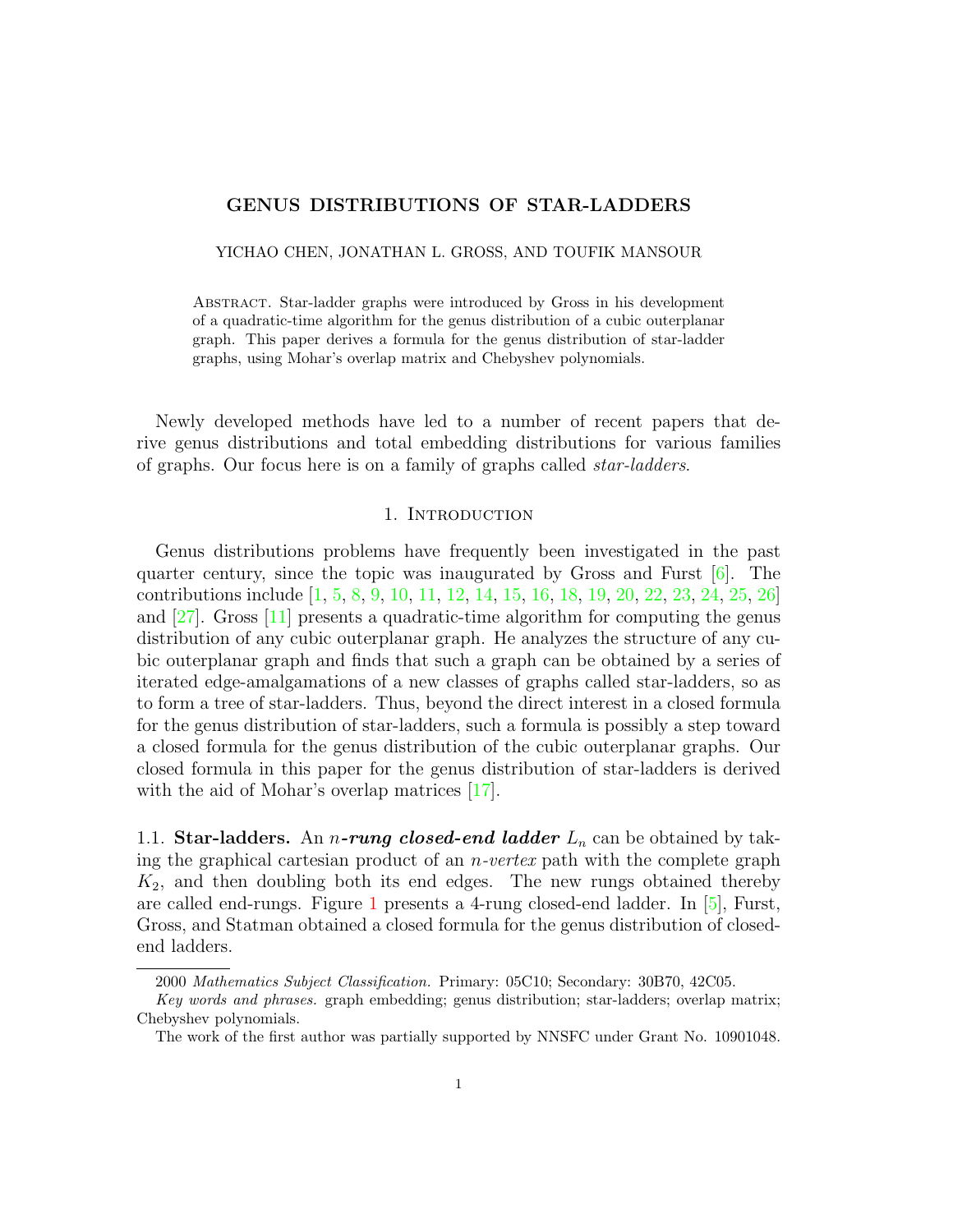# GENUS DISTRIBUTIONS OF STAR-LADDERS

YICHAO CHEN, JONATHAN L. GROSS, AND TOUFIK MANSOUR

Abstract. Star-ladder graphs were introduced by Gross in his development of a quadratic-time algorithm for the genus distribution of a cubic outerplanar graph. This paper derives a formula for the genus distribution of star-ladder graphs, using Mohar's overlap matrix and Chebyshev polynomials.

Newly developed methods have led to a number of recent papers that derive genus distributions and total embedding distributions for various families of graphs. Our focus here is on a family of graphs called star-ladders.

### 1. Introduction

Genus distributions problems have frequently been investigated in the past quarter century, since the topic was inaugurated by Gross and Furst  $[6]$ . The contributions include [\[1,](#page-12-0) [5,](#page-12-1) [8,](#page-13-1) [9,](#page-13-2) [10,](#page-13-3) [11,](#page-13-4) [12,](#page-13-5) [14,](#page-13-6) [15,](#page-13-7) [16,](#page-13-8) [18,](#page-13-9) [19,](#page-13-10) [20,](#page-13-11) [22,](#page-13-12) [23,](#page-13-13) [24,](#page-13-14) [25,](#page-13-15) [26\]](#page-13-16) and [\[27\]](#page-13-17). Gross [\[11\]](#page-13-4) presents a quadratic-time algorithm for computing the genus distribution of any cubic outerplanar graph. He analyzes the structure of any cubic outerplanar graph and finds that such a graph can be obtained by a series of iterated edge-amalgamations of a new classes of graphs called star-ladders, so as to form a tree of star-ladders. Thus, beyond the direct interest in a closed formula for the genus distribution of star-ladders, such a formula is possibly a step toward a closed formula for the genus distribution of the cubic outerplanar graphs. Our closed formula in this paper for the genus distribution of star-ladders is derived with the aid of Mohar's overlap matrices [\[17\]](#page-13-18).

1.1. Star-ladders. An *n*-rung closed-end ladder  $L_n$  can be obtained by taking the graphical cartesian product of an *n-vertex* path with the complete graph  $K_2$ , and then doubling both its end edges. The new rungs obtained thereby are called end-rungs. Figure [1](#page-1-0) presents a 4-rung closed-end ladder. In [\[5\]](#page-12-1), Furst, Gross, and Statman obtained a closed formula for the genus distribution of closedend ladders.

<sup>2000</sup> Mathematics Subject Classification. Primary: 05C10; Secondary: 30B70, 42C05.

Key words and phrases. graph embedding; genus distribution; star-ladders; overlap matrix; Chebyshev polynomials.

The work of the first author was partially supported by NNSFC under Grant No. 10901048.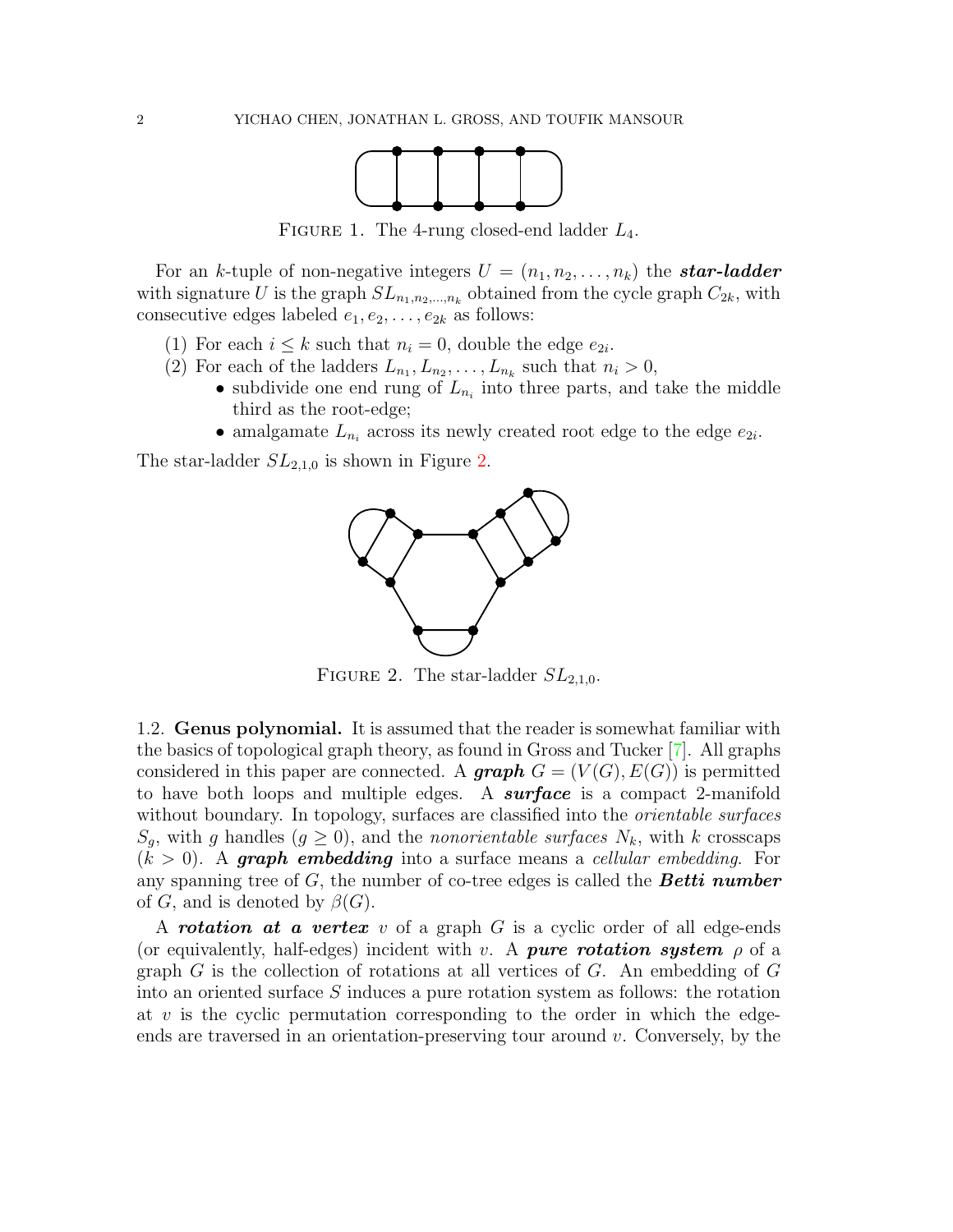

FIGURE 1. The 4-rung closed-end ladder  $L_4$ .

<span id="page-1-0"></span>For an k-tuple of non-negative integers  $U = (n_1, n_2, \ldots, n_k)$  the **star-ladder** with signature U is the graph  $SL_{n_1,n_2,...,n_k}$  obtained from the cycle graph  $C_{2k}$ , with consecutive edges labeled  $e_1, e_2, \ldots, e_{2k}$  as follows:

- (1) For each  $i \leq k$  such that  $n_i = 0$ , double the edge  $e_{2i}$ .
- (2) For each of the ladders  $L_{n_1}, L_{n_2}, \ldots, L_{n_k}$  such that  $n_i > 0$ ,
	- subdivide one end rung of  $L_{n_i}$  into three parts, and take the middle third as the root-edge;
	- amalgamate  $L_{n_i}$  across its newly created root edge to the edge  $e_{2i}$ .

<span id="page-1-1"></span>The star-ladder  $SL_{2,1,0}$  is shown in Figure [2.](#page-1-1)



FIGURE 2. The star-ladder  $SL_{2,1,0}$ .

1.2. Genus polynomial. It is assumed that the reader is somewhat familiar with the basics of topological graph theory, as found in Gross and Tucker [\[7\]](#page-13-19). All graphs considered in this paper are connected. A **graph**  $G = (V(G), E(G))$  is permitted to have both loops and multiple edges. A **surface** is a compact 2-manifold without boundary. In topology, surfaces are classified into the *orientable surfaces*  $S_q$ , with g handles  $(g \geq 0)$ , and the *nonorientable surfaces*  $N_k$ , with k crosscaps  $(k > 0)$ . A graph embedding into a surface means a cellular embedding. For any spanning tree of  $G$ , the number of co-tree edges is called the **Betti number** of G, and is denoted by  $\beta(G)$ .

A **rotation at a vertex** v of a graph G is a cyclic order of all edge-ends (or equivalently, half-edges) incident with v. A **pure rotation system**  $\rho$  of a graph  $G$  is the collection of rotations at all vertices of  $G$ . An embedding of  $G$ into an oriented surface S induces a pure rotation system as follows: the rotation at  $v$  is the cyclic permutation corresponding to the order in which the edgeends are traversed in an orientation-preserving tour around  $v$ . Conversely, by the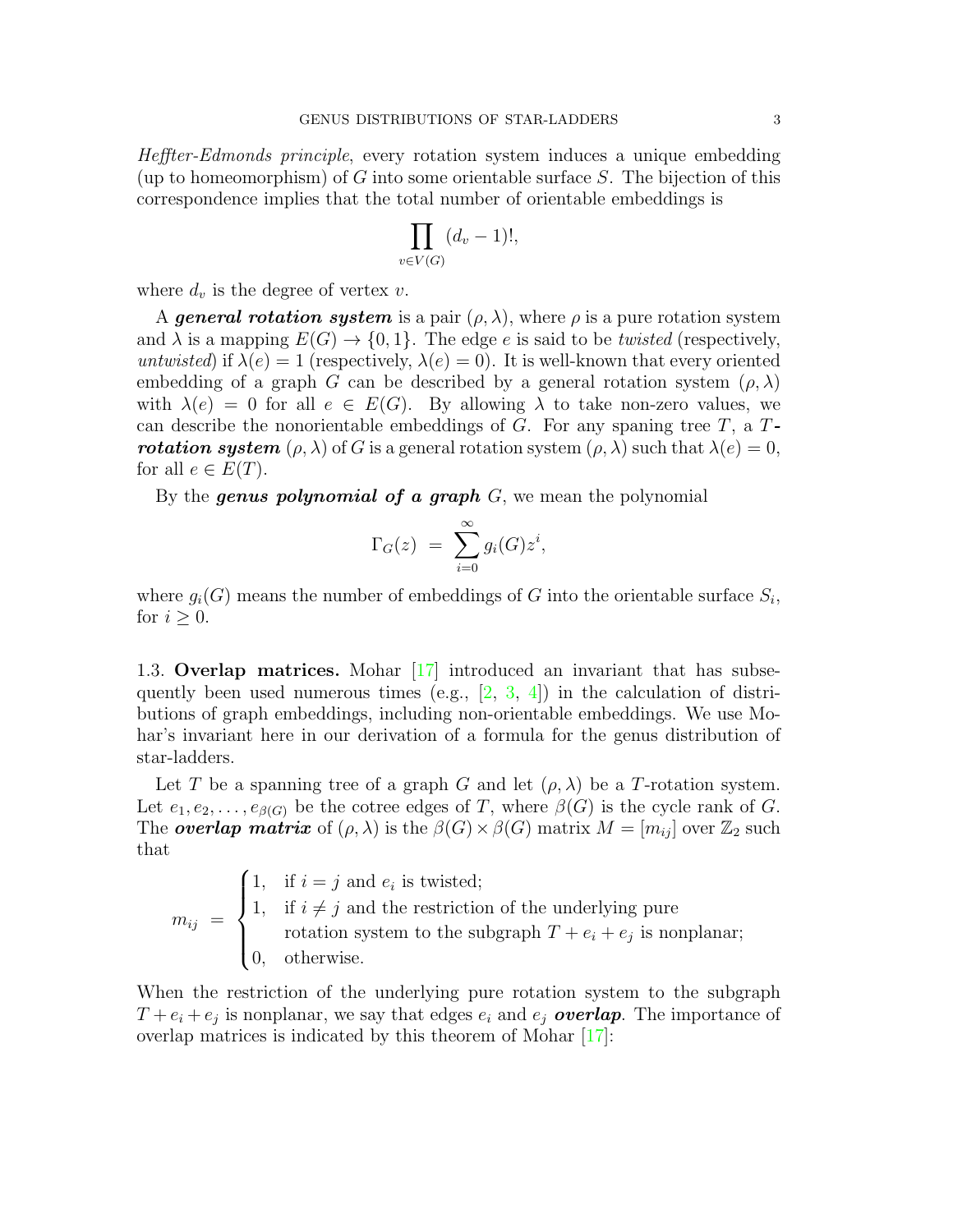Heffter-Edmonds principle, every rotation system induces a unique embedding (up to homeomorphism) of G into some orientable surface  $S$ . The bijection of this correspondence implies that the total number of orientable embeddings is

$$
\prod_{v \in V(G)} (d_v - 1)!,
$$

where  $d_v$  is the degree of vertex v.

A general rotation system is a pair  $(\rho, \lambda)$ , where  $\rho$  is a pure rotation system and  $\lambda$  is a mapping  $E(G) \to \{0, 1\}$ . The edge e is said to be *twisted* (respectively, untwisted) if  $\lambda(e) = 1$  (respectively,  $\lambda(e) = 0$ ). It is well-known that every oriented embedding of a graph G can be described by a general rotation system  $(\rho, \lambda)$ with  $\lambda(e) = 0$  for all  $e \in E(G)$ . By allowing  $\lambda$  to take non-zero values, we can describe the nonorientable embeddings of  $G$ . For any spaning tree  $T$ , a  $T$ **rotation system**  $(\rho, \lambda)$  of G is a general rotation system  $(\rho, \lambda)$  such that  $\lambda(e) = 0$ , for all  $e \in E(T)$ .

By the **genus polynomial of a graph**  $G$ , we mean the polynomial

$$
\Gamma_G(z) = \sum_{i=0}^{\infty} g_i(G) z^i,
$$

where  $g_i(G)$  means the number of embeddings of G into the orientable surface  $S_i$ , for  $i \geq 0$ .

1.3. Overlap matrices. Mohar [\[17\]](#page-13-18) introduced an invariant that has subsequently been used numerous times (e.g.,  $[2, 3, 4]$  $[2, 3, 4]$  $[2, 3, 4]$  $[2, 3, 4]$ ) in the calculation of distributions of graph embeddings, including non-orientable embeddings. We use Mohar's invariant here in our derivation of a formula for the genus distribution of star-ladders.

Let T be a spanning tree of a graph G and let  $(\rho, \lambda)$  be a T-rotation system. Let  $e_1, e_2, \ldots, e_{\beta(G)}$  be the cotree edges of T, where  $\beta(G)$  is the cycle rank of G. The **overlap matrix** of  $(\rho, \lambda)$  is the  $\beta(G) \times \beta(G)$  matrix  $M = [m_{ij}]$  over  $\mathbb{Z}_2$  such that

$$
m_{ij} = \begin{cases} 1, & \text{if } i = j \text{ and } e_i \text{ is twisted;} \\ 1, & \text{if } i \neq j \text{ and the restriction of the underlying pure} \\ & \text{rotation system to the subgraph } T + e_i + e_j \text{ is nonplanar;} \\ 0, & \text{otherwise.} \end{cases}
$$

When the restriction of the underlying pure rotation system to the subgraph  $T + e_i + e_j$  is nonplanar, we say that edges  $e_i$  and  $e_j$  **overlap**. The importance of overlap matrices is indicated by this theorem of Mohar [\[17\]](#page-13-18):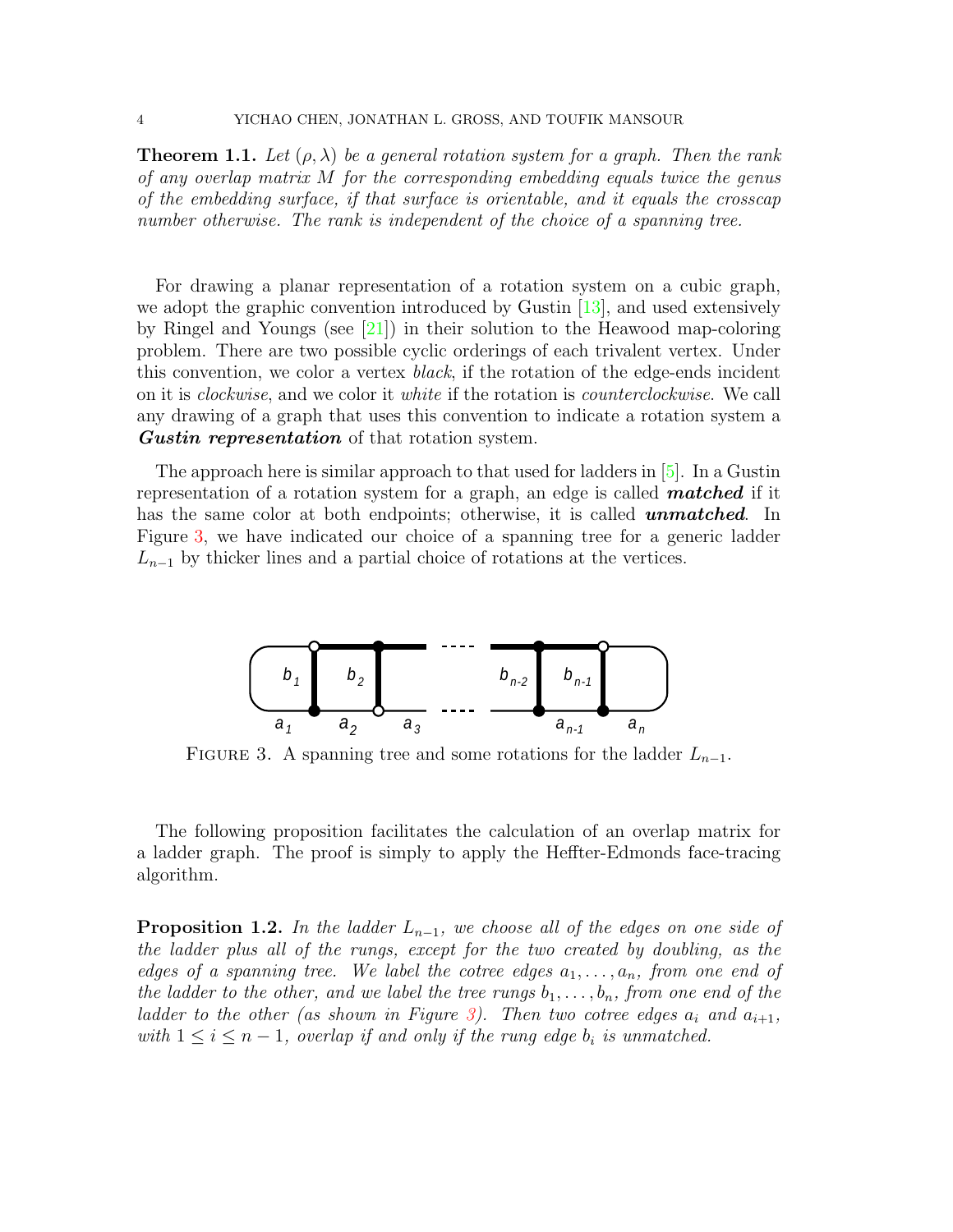**Theorem 1.1.** Let  $(\rho, \lambda)$  be a general rotation system for a graph. Then the rank of any overlap matrix M for the corresponding embedding equals twice the genus of the embedding surface, if that surface is orientable, and it equals the crosscap number otherwise. The rank is independent of the choice of a spanning tree.

For drawing a planar representation of a rotation system on a cubic graph, we adopt the graphic convention introduced by Gustin  $[13]$ , and used extensively by Ringel and Youngs (see [\[21\]](#page-13-21)) in their solution to the Heawood map-coloring problem. There are two possible cyclic orderings of each trivalent vertex. Under this convention, we color a vertex black, if the rotation of the edge-ends incident on it is clockwise, and we color it white if the rotation is counterclockwise. We call any drawing of a graph that uses this convention to indicate a rotation system a **Gustin representation** of that rotation system.

The approach here is similar approach to that used for ladders in [\[5\]](#page-12-1). In a Gustin representation of a rotation system for a graph, an edge is called **matched** if it has the same color at both endpoints; otherwise, it is called **unmatched**. In Figure [3,](#page-3-0) we have indicated our choice of a spanning tree for a generic ladder  $L_{n-1}$  by thicker lines and a partial choice of rotations at the vertices.

<span id="page-3-0"></span>

FIGURE 3. A spanning tree and some rotations for the ladder  $L_{n-1}$ .

The following proposition facilitates the calculation of an overlap matrix for a ladder graph. The proof is simply to apply the Heffter-Edmonds face-tracing algorithm.

<span id="page-3-1"></span>**Proposition 1.2.** In the ladder  $L_{n-1}$ , we choose all of the edges on one side of the ladder plus all of the rungs, except for the two created by doubling, as the edges of a spanning tree. We label the cotree edges  $a_1, \ldots, a_n$ , from one end of the ladder to the other, and we label the tree rungs  $b_1, \ldots, b_n$ , from one end of the ladder to the other (as shown in Figure [3\)](#page-3-0). Then two cotree edges  $a_i$  and  $a_{i+1}$ , with  $1 \leq i \leq n-1$ , overlap if and only if the rung edge  $b_i$  is unmatched.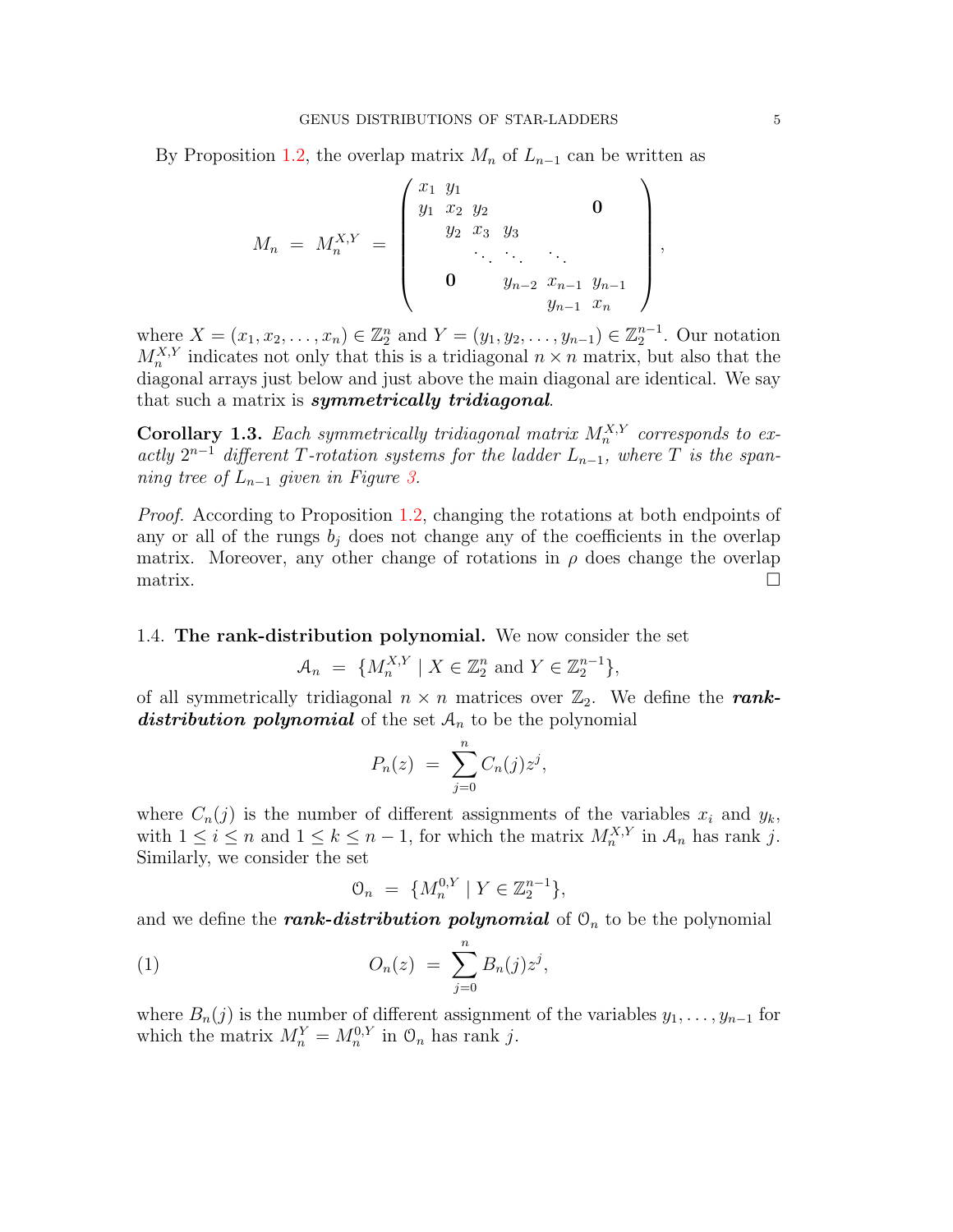By Proposition [1.2,](#page-3-1) the overlap matrix  $M_n$  of  $L_{n-1}$  can be written as

$$
M_n = M_n^{X,Y} = \begin{pmatrix} x_1 & y_1 & & & & & \\ y_1 & x_2 & y_2 & & & & 0 \\ & y_2 & x_3 & y_3 & & & \\ & & \ddots & \ddots & \ddots & & \\ & & & y_{n-2} & x_{n-1} & y_{n-1} \\ & & & & y_{n-1} & x_n \end{pmatrix}
$$

where  $X = (x_1, x_2, \dots, x_n) \in \mathbb{Z}_2^n$  and  $Y = (y_1, y_2, \dots, y_{n-1}) \in \mathbb{Z}_2^{n-1}$ . Our notation  $M_n^{X,Y}$  indicates not only that this is a tridiagonal  $n \times n$  matrix, but also that the diagonal arrays just below and just above the main diagonal are identical. We say that such a matrix is *symmetrically tridiagonal*.

<span id="page-4-1"></span>**Corollary 1.3.** Each symmetrically tridiagonal matrix  $M_n^{X,Y}$  corresponds to exactly  $2^{n-1}$  different T-rotation systems for the ladder  $L_{n-1}$ , where T is the spanning tree of  $L_{n-1}$  given in Figure [3.](#page-3-0)

Proof. According to Proposition [1.2,](#page-3-1) changing the rotations at both endpoints of any or all of the rungs  $b_i$  does not change any of the coefficients in the overlap matrix. Moreover, any other change of rotations in  $\rho$  does change the overlap  $\Box$ 

## 1.4. The rank-distribution polynomial. We now consider the set

$$
\mathcal{A}_n = \{ M_n^{X,Y} \mid X \in \mathbb{Z}_2^n \text{ and } Y \in \mathbb{Z}_2^{n-1} \},\
$$

of all symmetrically tridiagonal  $n \times n$  matrices over  $\mathbb{Z}_2$ . We define the **rank**distribution polynomial of the set  $A_n$  to be the polynomial

$$
P_n(z) = \sum_{j=0}^n C_n(j) z^j,
$$

where  $C_n(j)$  is the number of different assignments of the variables  $x_i$  and  $y_k$ , with  $1 \leq i \leq n$  and  $1 \leq k \leq n-1$ , for which the matrix  $M_n^{X,Y}$  in  $\mathcal{A}_n$  has rank j. Similarly, we consider the set

<span id="page-4-0"></span>
$$
\mathcal{O}_n = \{ M_n^{0,Y} \mid Y \in \mathbb{Z}_2^{n-1} \},\
$$

and we define the rank-distribution polynomial of  $\mathcal{O}_n$  to be the polynomial

(1) 
$$
O_n(z) = \sum_{j=0}^n B_n(j) z^j,
$$

where  $B_n(j)$  is the number of different assignment of the variables  $y_1, \ldots, y_{n-1}$  for which the matrix  $M_n^Y = M_n^{0,Y}$  in  $\mathcal{O}_n$  has rank j.

,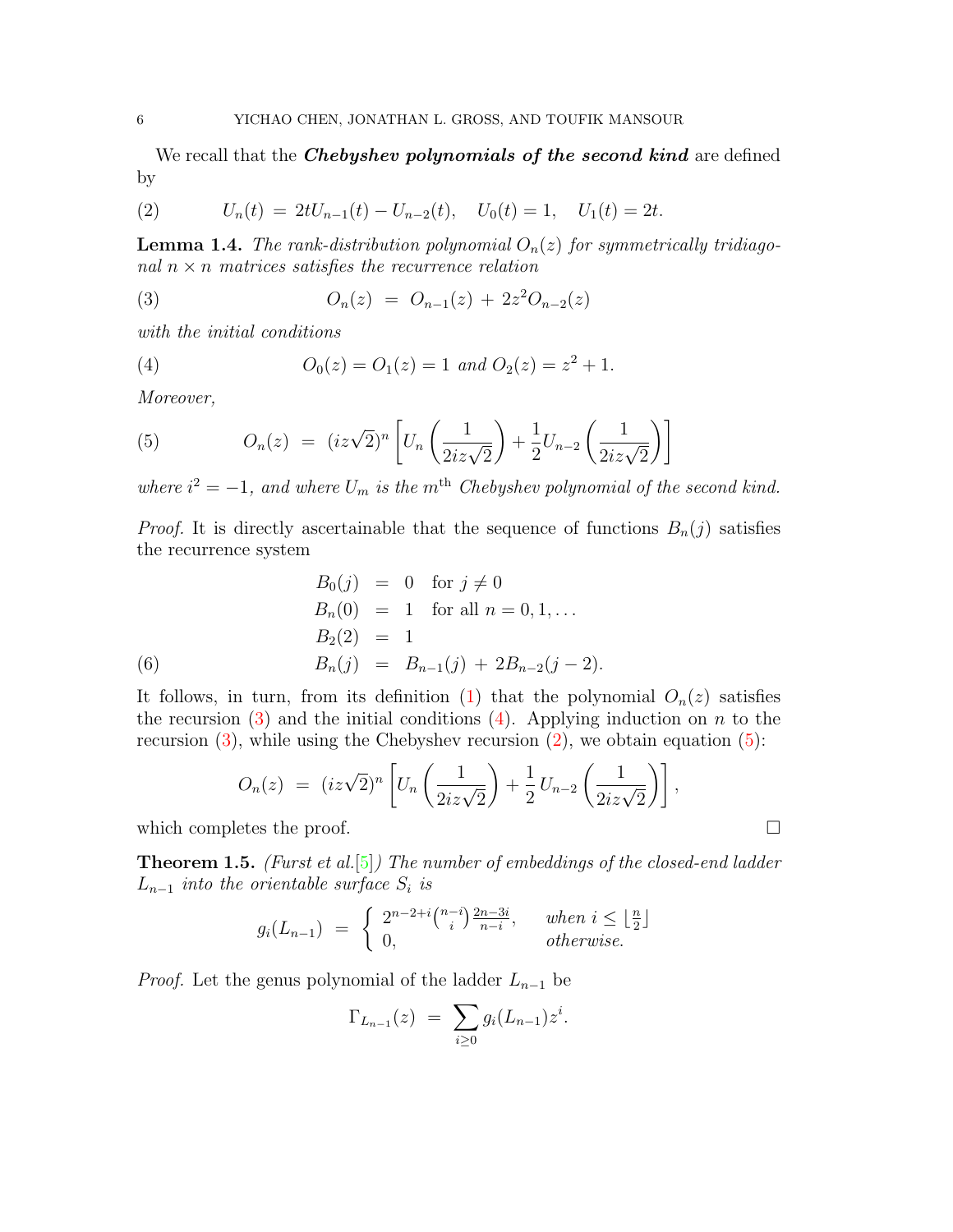We recall that the *Chebyshev polynomials of the second kind* are defined by

<span id="page-5-2"></span>(2) 
$$
U_n(t) = 2tU_{n-1}(t) - U_{n-2}(t), \quad U_0(t) = 1, \quad U_1(t) = 2t.
$$

<span id="page-5-4"></span>**Lemma 1.4.** The rank-distribution polynomial  $O_n(z)$  for symmetrically tridiagonal  $n \times n$  matrices satisfies the recurrence relation

<span id="page-5-0"></span>(3) 
$$
O_n(z) = O_{n-1}(z) + 2z^2 O_{n-2}(z)
$$

with the initial conditions

<span id="page-5-1"></span>(4) 
$$
O_0(z) = O_1(z) = 1 \text{ and } O_2(z) = z^2 + 1.
$$

Moreover,

<span id="page-5-3"></span>(5) 
$$
O_n(z) = (iz\sqrt{2})^n \left[ U_n\left(\frac{1}{2iz\sqrt{2}}\right) + \frac{1}{2}U_{n-2}\left(\frac{1}{2iz\sqrt{2}}\right) \right]
$$

where  $i^2 = -1$ , and where  $U_m$  is the m<sup>th</sup> Chebyshev polynomial of the second kind.

*Proof.* It is directly ascertainable that the sequence of functions  $B_n(j)$  satisfies the recurrence system

(6)  
\n
$$
B_0(j) = 0 \text{ for } j \neq 0
$$
\n
$$
B_n(0) = 1 \text{ for all } n = 0, 1, ...
$$
\n
$$
B_2(2) = 1
$$
\n
$$
B_n(j) = B_{n-1}(j) + 2B_{n-2}(j-2).
$$

It follows, in turn, from its definition [\(1\)](#page-4-0) that the polynomial  $O_n(z)$  satisfies the recursion [\(3\)](#page-5-0) and the initial conditions [\(4\)](#page-5-1). Applying induction on n to the recursion  $(3)$ , while using the Chebyshev recursion  $(2)$ , we obtain equation  $(5)$ :

$$
O_n(z) = (iz\sqrt{2})^n \left[ U_n\left(\frac{1}{2iz\sqrt{2}}\right) + \frac{1}{2} U_{n-2}\left(\frac{1}{2iz\sqrt{2}}\right) \right],
$$

which completes the proof.  $\Box$ 

**Theorem 1.5.** (Furst et al. [\[5\]](#page-12-1)) The number of embeddings of the closed-end ladder  $L_{n-1}$  into the orientable surface  $S_i$  is

$$
g_i(L_{n-1}) = \begin{cases} 2^{n-2+i} {n-i \choose i} \frac{2n-3i}{n-i}, & when \ i \leq \lfloor \frac{n}{2} \rfloor \\ 0, & otherwise. \end{cases}
$$

*Proof.* Let the genus polynomial of the ladder  $L_{n-1}$  be

$$
\Gamma_{L_{n-1}}(z) = \sum_{i \geq 0} g_i(L_{n-1}) z^i.
$$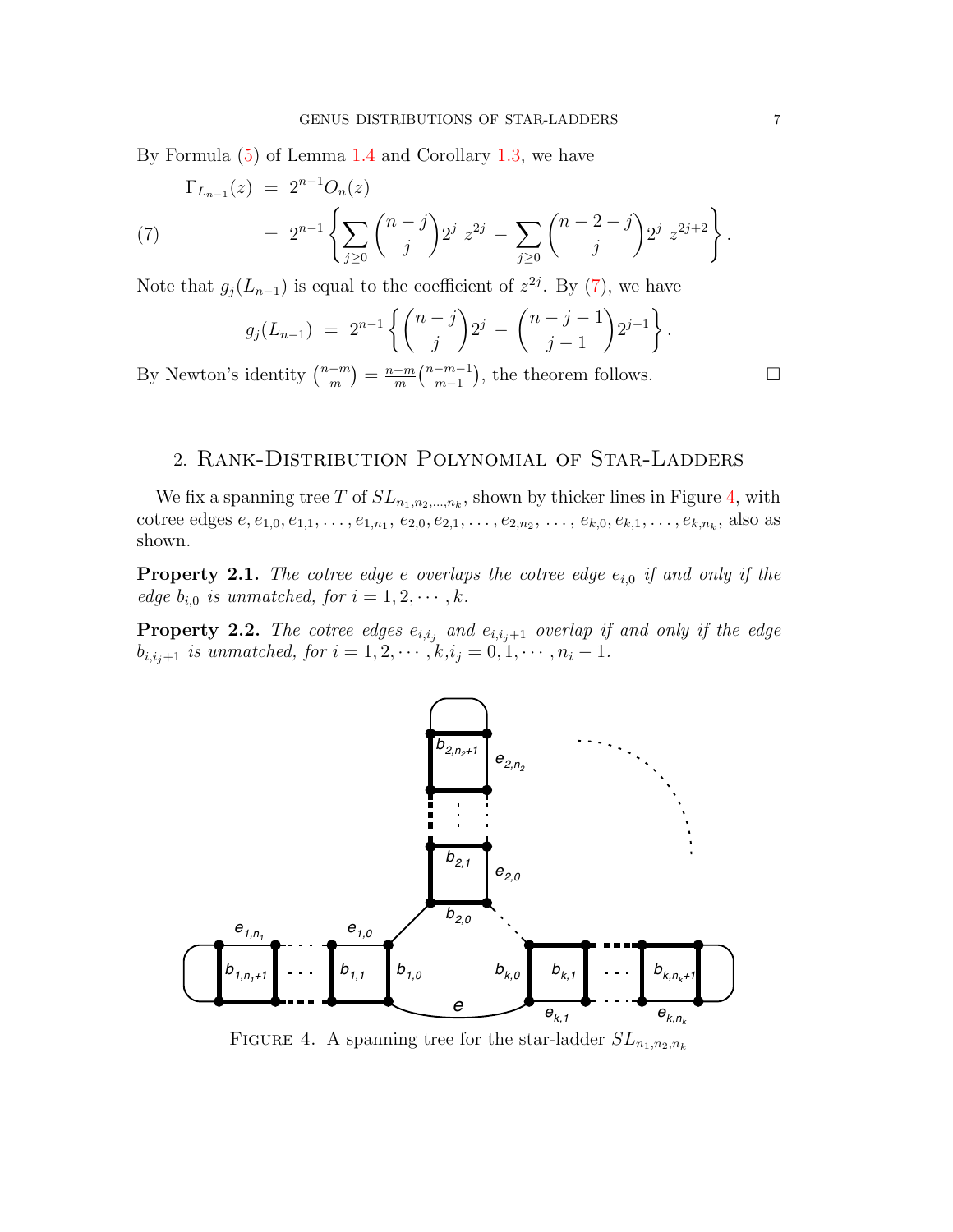By Formula [\(5\)](#page-5-3) of Lemma [1.4](#page-5-4) and Corollary [1.3,](#page-4-1) we have

<span id="page-6-0"></span>
$$
\Gamma_{L_{n-1}}(z) = 2^{n-1} O_n(z)
$$
\n
$$
= 2^{n-1} \left\{ \sum_{j\geq 0} {n-j \choose j} 2^j z^{2j} - \sum_{j\geq 0} {n-2-j \choose j} 2^j z^{2j+2} \right\}.
$$

Note that  $g_j(L_{n-1})$  is equal to the coefficient of  $z^{2j}$ . By [\(7\)](#page-6-0), we have

$$
g_j(L_{n-1}) = 2^{n-1} \left\{ {n-j \choose j} 2^j - {n-j-1 \choose j-1} 2^{j-1} \right\}.
$$

By Newton's identity  $\binom{n-m}{m}$  $\binom{-m}{m} = \frac{n-m}{m}$  $\frac{-m}{m}$  $\binom{n-m-1}{m-1}$  $\binom{-m-1}{m-1}$ , the theorem follows.  $\Box$ 

# 2. Rank-Distribution Polynomial of Star-Ladders

We fix a spanning tree T of  $SL_{n_1,n_2,\dots,n_k}$ , shown by thicker lines in Figure [4,](#page-6-1) with cotree edges  $e, e_{1,0}, e_{1,1}, \ldots, e_{1,n_1}, e_{2,0}, e_{2,1}, \ldots, e_{2,n_2}, \ldots, e_{k,0}, e_{k,1}, \ldots, e_{k,n_k}$ , also as shown.

**Property 2.1.** The cotree edge e overlaps the cotree edge  $e_{i,0}$  if and only if the edge  $b_{i,0}$  is unmatched, for  $i = 1, 2, \cdots, k$ .

**Property 2.2.** The cotree edges  $e_{i,i_j}$  and  $e_{i,i_j+1}$  overlap if and only if the edge  $b_{i,i_j+1}$  is unmatched, for  $i = 1, 2, \cdots, k, i_j = 0, 1, \cdots, n_i - 1$ .

<span id="page-6-1"></span>

FIGURE 4. A spanning tree for the star-ladder  $SL_{n_1,n_2,n_k}$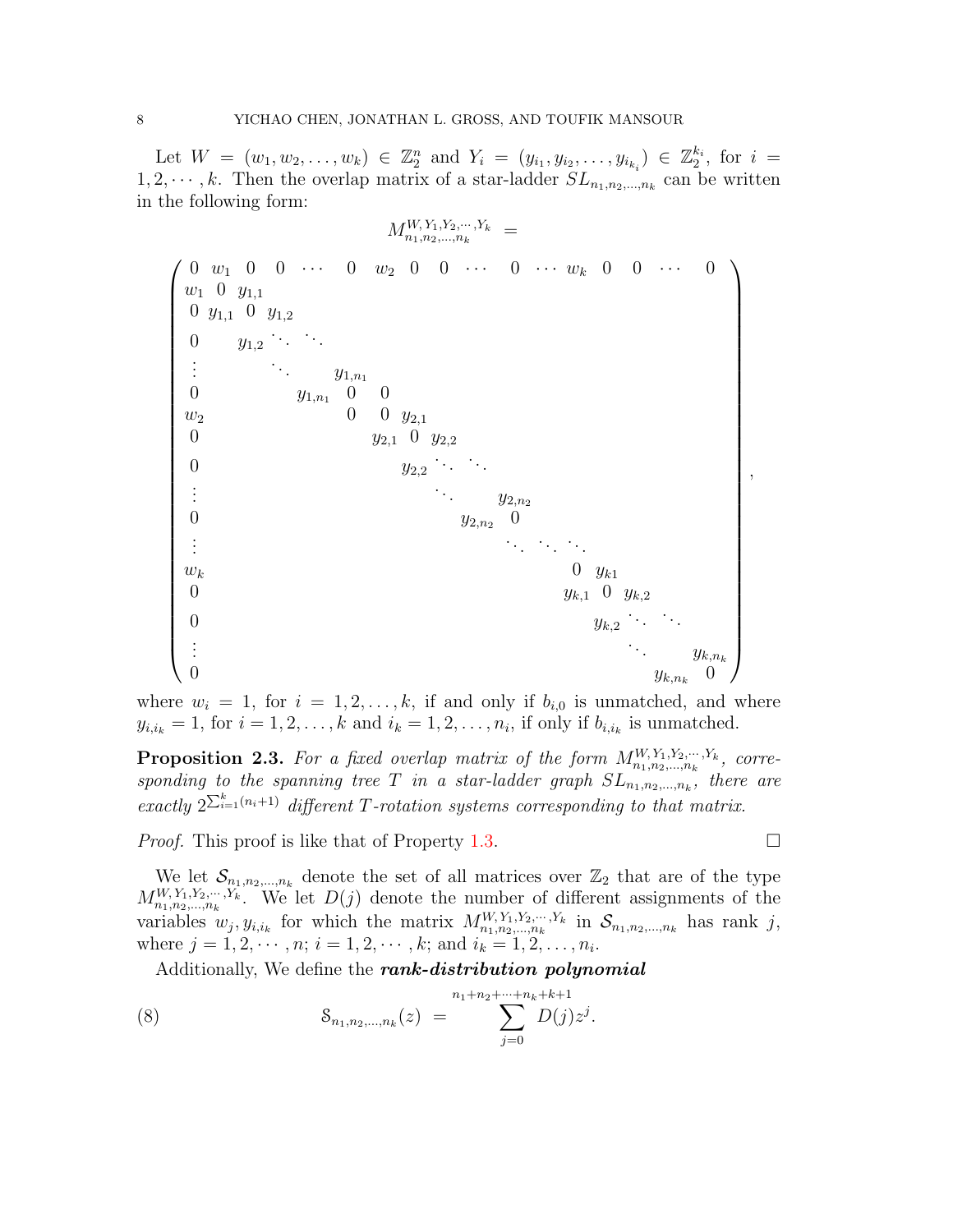Let  $W = (w_1, w_2, \ldots, w_k) \in \mathbb{Z}_2^n$  and  $Y_i = (y_{i_1}, y_{i_2}, \ldots, y_{i_{k_i}}) \in \mathbb{Z}_2^{k_i}$ , for  $i =$  $1, 2, \dots, k$ . Then the overlap matrix of a star-ladder  $SL_{n_1, n_2, \dots, n_k}$  can be written in the following form:

MW, Y1,Y2,··· ,Y<sup>k</sup> <sup>n</sup>1,n2,...,n<sup>k</sup> = 0 w<sup>1</sup> 0 0 · · · 0 w<sup>2</sup> 0 0 · · · 0 · · · w<sup>k</sup> 0 0 · · · 0 w<sup>1</sup> 0 y1,<sup>1</sup> 0 y1,<sup>1</sup> 0 y1,<sup>2</sup> 0 y1,<sup>2</sup> . . . . . . . . . . . . y1,n<sup>1</sup> 0 y1,n<sup>1</sup> 0 0 w<sup>2</sup> 0 0 y2,<sup>1</sup> 0 y2,<sup>1</sup> 0 y2,<sup>2</sup> 0 y2,<sup>2</sup> . . . . . . . . . . . . y2,n<sup>2</sup> 0 y2,n<sup>2</sup> 0 . . . . . . . . . . . . w<sup>k</sup> 0 yk<sup>1</sup> 0 yk,<sup>1</sup> 0 yk,<sup>2</sup> 0 yk,<sup>2</sup> . . . . . . . . . . . . yk,n<sup>k</sup> 0 yk,n<sup>k</sup> 0 ,

where  $w_i = 1$ , for  $i = 1, 2, ..., k$ , if and only if  $b_{i,0}$  is unmatched, and where  $y_{i,i_k} = 1$ , for  $i = 1, 2, \ldots, k$  and  $i_k = 1, 2, \ldots, n_i$ , if only if  $b_{i,i_k}$  is unmatched.

<span id="page-7-1"></span>**Proposition 2.3.** For a fixed overlap matrix of the form  $M_{n_1,n_2,...,n_k}^{W,Y_1,Y_2,...,Y_k}$ , corresponding to the spanning tree T in a star-ladder graph  $SL_{n_1,n_2,...,n_k}$ , there are exactly  $2^{\sum_{i=1}^{k}(n_i+1)}$  different T-rotation systems corresponding to that matrix.

*Proof.* This proof is like that of Property [1.3.](#page-4-1)

We let  $\mathcal{S}_{n_1,n_2,...,n_k}$  denote the set of all matrices over  $\mathbb{Z}_2$  that are of the type  $M_{n_1,n_2,...,n_k}^{W,Y_1,Y_2,...,Y_k}$ . We let  $D(j)$  denote the number of different assignments of the variables  $w_j, y_{i,i_k}$  for which the matrix  $M_{n_1,n_2,...,n_k}^{W,Y_1,Y_2,...,Y_k}$  in  $\mathcal{S}_{n_1,n_2,...,n_k}$  has rank j, where  $j = 1, 2, \dots, n; i = 1, 2, \dots, k;$  and  $i_k = 1, 2, \dots, n_i$ .

<span id="page-7-0"></span>Additionally, We define the rank-distribution polynomial

(8) 
$$
S_{n_1,n_2,\dots,n_k}(z) = \sum_{j=0}^{n_1+n_2+\dots+n_k+k+1} D(j) z^j.
$$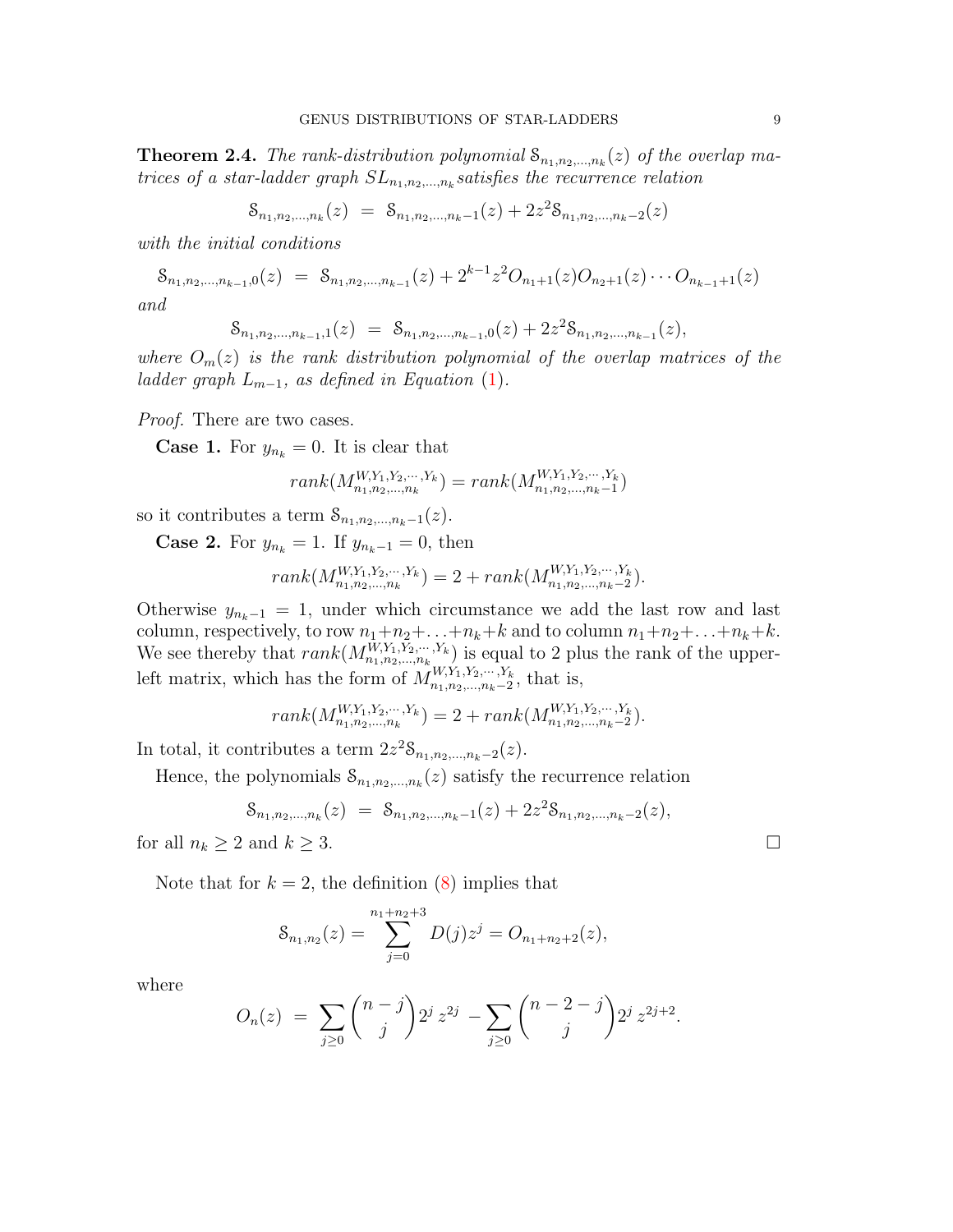<span id="page-8-0"></span>**Theorem 2.4.** The rank-distribution polynomial  $S_{n_1,n_2,...,n_k}(z)$  of the overlap matrices of a star-ladder graph  $SL_{n_1,n_2,...,n_k}$  satisfies the recurrence relation

$$
\mathcal{S}_{n_1, n_2, \dots, n_k}(z) = \mathcal{S}_{n_1, n_2, \dots, n_k - 1}(z) + 2z^2 \mathcal{S}_{n_1, n_2, \dots, n_k - 2}(z)
$$

with the initial conditions

$$
\mathcal{S}_{n_1, n_2, \dots, n_{k-1}, 0}(z) = \mathcal{S}_{n_1, n_2, \dots, n_{k-1}}(z) + 2^{k-1} z^2 O_{n_1+1}(z) O_{n_2+1}(z) \cdots O_{n_{k-1}+1}(z)
$$

and

$$
\mathcal{S}_{n_1, n_2, \dots, n_{k-1}, 1}(z) = \mathcal{S}_{n_1, n_2, \dots, n_{k-1}, 0}(z) + 2z^2 \mathcal{S}_{n_1, n_2, \dots, n_{k-1}}(z),
$$

where  $O_m(z)$  is the rank distribution polynomial of the overlap matrices of the ladder graph  $L_{m-1}$ , as defined in Equation [\(1\)](#page-4-0).

Proof. There are two cases.

**Case 1.** For  $y_{n_k} = 0$ . It is clear that

$$
rank(M_{n_1,n_2,\ldots,n_k}^{W,Y_1,Y_2,\ldots,Y_k}) = rank(M_{n_1,n_2,\ldots,n_k-1}^{W,Y_1,Y_2,\ldots,Y_k})
$$

so it contributes a term  $S_{n_1,n_2,...,n_k-1}(z)$ .

**Case 2.** For  $y_{n_k} = 1$ . If  $y_{n_k-1} = 0$ , then

$$
rank(M_{n_1,n_2,\ldots,n_k}^{W,Y_1,Y_2,\ldots,Y_k}) = 2 + rank(M_{n_1,n_2,\ldots,n_k-2}^{W,Y_1,Y_2,\ldots,Y_k}).
$$

Otherwise  $y_{n_k-1} = 1$ , under which circumstance we add the last row and last column, respectively, to row  $n_1+n_2+\ldots+n_k+k$  and to column  $n_1+n_2+\ldots+n_k+k$ . We see thereby that  $rank(M_{n_1,n_2,...,n_k}^{W,Y_1,Y_2,...,Y_k})$  is equal to 2 plus the rank of the upperleft matrix, which has the form of  $M_{n_1,n_2,...,n_k-2}^{W,Y_1,Y_2,...,Y_k}$  $\sum_{n_1,n_2,...,n_k-2}^{W,Y_1,Y_2,...,Y_k}$ , that is,

$$
rank(M_{n_1,n_2,\ldots,n_k}^{W,Y_1,Y_2,\ldots,Y_k}) = 2 + rank(M_{n_1,n_2,\ldots,n_k-2}^{W,Y_1,Y_2,\ldots,Y_k}).
$$

In total, it contributes a term  $2z^2 \mathcal{S}_{n_1,n_2,\dots,n_k-2}(z)$ .

Hence, the polynomials  $\mathcal{S}_{n_1,n_2,\dots,n_k}(z)$  satisfy the recurrence relation

$$
\mathcal{S}_{n_1, n_2, \dots, n_k}(z) = \mathcal{S}_{n_1, n_2, \dots, n_k - 1}(z) + 2z^2 \mathcal{S}_{n_1, n_2, \dots, n_k - 2}(z),
$$

for all  $n_k \geq 2$  and  $k \geq 3$ .

Note that for  $k = 2$ , the definition [\(8\)](#page-7-0) implies that

$$
S_{n_1,n_2}(z) = \sum_{j=0}^{n_1+n_2+3} D(j)z^j = O_{n_1+n_2+2}(z),
$$

where

$$
O_n(z) = \sum_{j\geq 0} {n-j \choose j} 2^j z^{2j} - \sum_{j\geq 0} {n-2-j \choose j} 2^j z^{2j+2}.
$$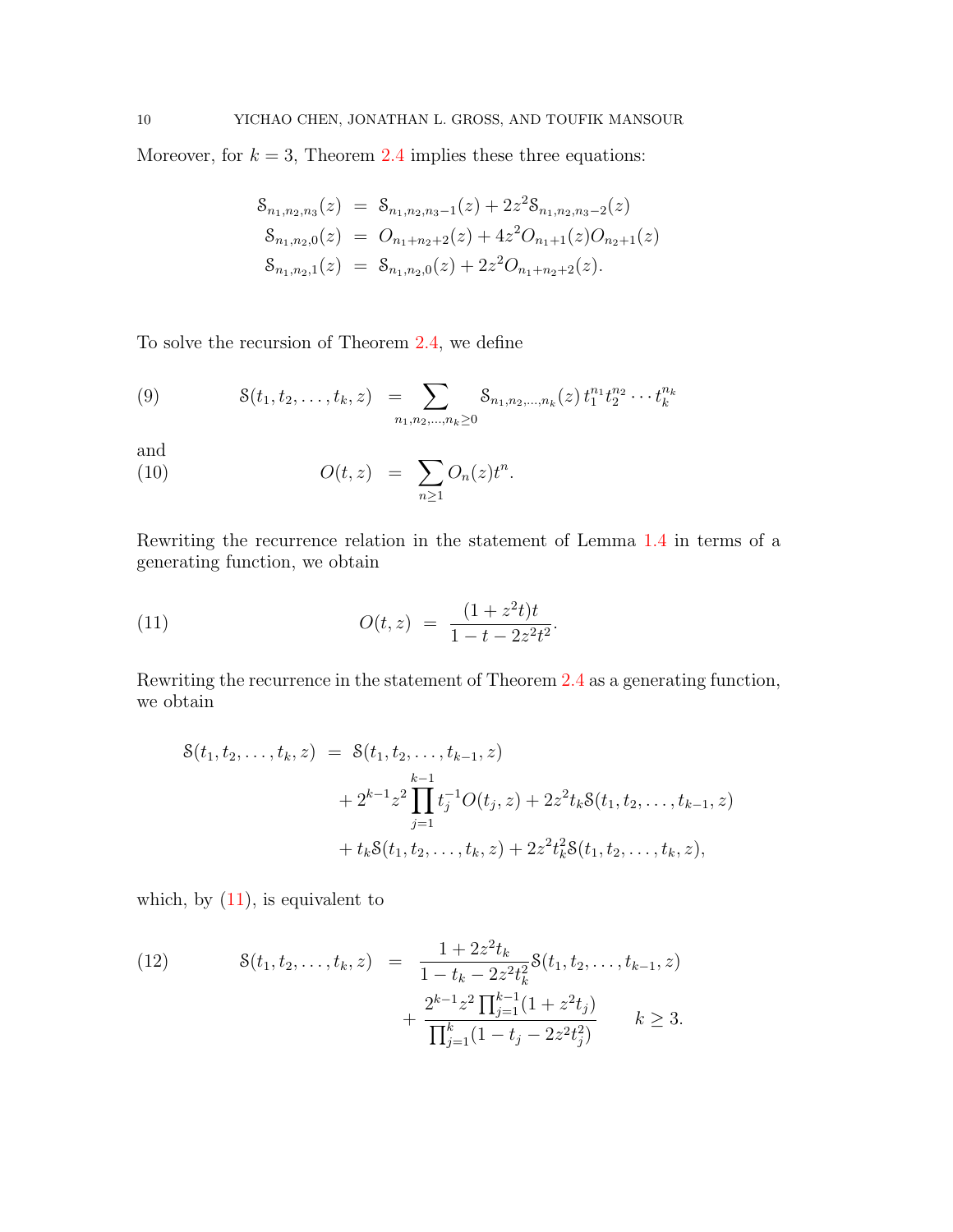Moreover, for  $k = 3$ , Theorem [2.4](#page-8-0) implies these three equations:

$$
\begin{aligned}\n\mathcal{S}_{n_1,n_2,n_3}(z) &= \mathcal{S}_{n_1,n_2,n_3-1}(z) + 2z^2 \mathcal{S}_{n_1,n_2,n_3-2}(z) \\
\mathcal{S}_{n_1,n_2,0}(z) &= O_{n_1+n_2+2}(z) + 4z^2 O_{n_1+1}(z) O_{n_2+1}(z) \\
\mathcal{S}_{n_1,n_2,1}(z) &= \mathcal{S}_{n_1,n_2,0}(z) + 2z^2 O_{n_1+n_2+2}(z).\n\end{aligned}
$$

To solve the recursion of Theorem [2.4,](#page-8-0) we define

(9) 
$$
\mathcal{S}(t_1, t_2, \ldots, t_k, z) = \sum_{n_1, n_2, \ldots, n_k \geq 0} \mathcal{S}_{n_1, n_2, \ldots, n_k}(z) t_1^{n_1} t_2^{n_2} \cdots t_k^{n_k}
$$

and

(10) 
$$
O(t,z) = \sum_{n\geq 1} O_n(z)t^n.
$$

Rewriting the recurrence relation in the statement of Lemma [1.4](#page-5-4) in terms of a generating function, we obtain

<span id="page-9-0"></span>(11) 
$$
O(t, z) = \frac{(1 + z^2 t)t}{1 - t - 2z^2 t^2}.
$$

Rewriting the recurrence in the statement of Theorem [2.4](#page-8-0) as a generating function, we obtain

$$
S(t_1, t_2,..., t_k, z) = S(t_1, t_2,..., t_{k-1}, z)
$$
  
+  $2^{k-1}z^2 \prod_{j=1}^{k-1} t_j^{-1} O(t_j, z) + 2z^2 t_k S(t_1, t_2,..., t_{k-1}, z)$   
+  $t_k S(t_1, t_2,..., t_k, z) + 2z^2 t_k^2 S(t_1, t_2,..., t_k, z),$ 

which, by  $(11)$ , is equivalent to

<span id="page-9-1"></span>(12) 
$$
8(t_1, t_2, \dots, t_k, z) = \frac{1 + 2z^2 t_k}{1 - t_k - 2z^2 t_k^2} 8(t_1, t_2, \dots, t_{k-1}, z) + \frac{2^{k-1} z^2 \prod_{j=1}^{k-1} (1 + z^2 t_j)}{\prod_{j=1}^k (1 - t_j - 2z^2 t_j^2)} \qquad k \ge 3.
$$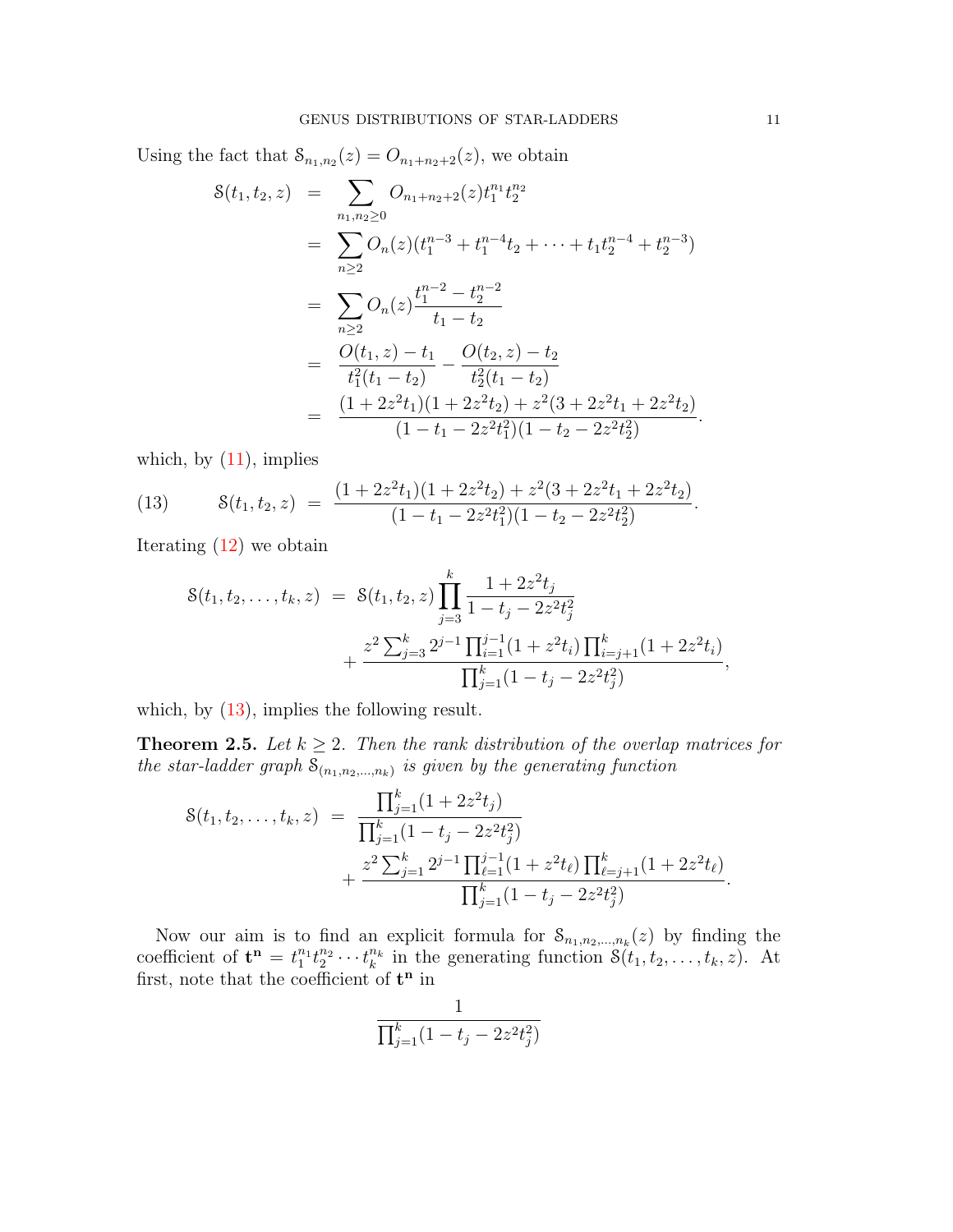Using the fact that  $S_{n_1,n_2}(z) = O_{n_1+n_2+2}(z)$ , we obtain

$$
S(t_1, t_2, z) = \sum_{n_1, n_2 \ge 0} O_{n_1 + n_2 + 2}(z) t_1^{n_1} t_2^{n_2}
$$
  
\n
$$
= \sum_{n \ge 2} O_n(z) (t_1^{n_1} + t_1^{n_1} + t_2 + \dots + t_1 t_2^{n_1} + t_2^{n_1} + t_2^{n_2})
$$
  
\n
$$
= \sum_{n \ge 2} O_n(z) \frac{t_1^{n_1} - t_2^{n_1}}{t_1 - t_2}
$$
  
\n
$$
= \frac{O(t_1, z) - t_1}{t_1^2(t_1 - t_2)} - \frac{O(t_2, z) - t_2}{t_2^2(t_1 - t_2)}
$$
  
\n
$$
= \frac{(1 + 2z^2 t_1)(1 + 2z^2 t_2) + z^2 (3 + 2z^2 t_1 + 2z^2 t_2)}{(1 - t_1 - 2z^2 t_1^2)(1 - t_2 - 2z^2 t_2^2)}.
$$

which, by  $(11)$ , implies

<span id="page-10-0"></span>(13) 
$$
\mathcal{S}(t_1, t_2, z) = \frac{(1 + 2z^2 t_1)(1 + 2z^2 t_2) + z^2 (3 + 2z^2 t_1 + 2z^2 t_2)}{(1 - t_1 - 2z^2 t_1^2)(1 - t_2 - 2z^2 t_2^2)}.
$$

Iterating [\(12\)](#page-9-1) we obtain

$$
S(t_1, t_2,..., t_k, z) = S(t_1, t_2, z) \prod_{j=3}^k \frac{1 + 2z^2 t_j}{1 - t_j - 2z^2 t_j^2} + \frac{z^2 \sum_{j=3}^k 2^{j-1} \prod_{i=1}^{j-1} (1 + z^2 t_i) \prod_{i=j+1}^k (1 + 2z^2 t_i)}{\prod_{j=1}^k (1 - t_j - 2z^2 t_j^2)},
$$

which, by  $(13)$ , implies the following result.

<span id="page-10-1"></span>**Theorem 2.5.** Let  $k \geq 2$ . Then the rank distribution of the overlap matrices for the star-ladder graph  $S_{(n_1,n_2,...,n_k)}$  is given by the generating function

$$
S(t_1, t_2, \dots, t_k, z) = \frac{\prod_{j=1}^k (1 + 2z^2 t_j)}{\prod_{j=1}^k (1 - t_j - 2z^2 t_j^2)} + \frac{z^2 \sum_{j=1}^k 2^{j-1} \prod_{\ell=1}^{j-1} (1 + z^2 t_\ell) \prod_{\ell=j+1}^k (1 + 2z^2 t_\ell)}{\prod_{j=1}^k (1 - t_j - 2z^2 t_j^2)}.
$$

Now our aim is to find an explicit formula for  $S_{n_1,n_2,...,n_k}(z)$  by finding the coefficient of  $\mathbf{t}^{\mathbf{n}} = t_1^{n_1} t_2^{n_2} \cdots t_k^{n_k}$  in the generating function  $\mathcal{S}(t_1, t_2, \ldots, t_k, z)$ . At first, note that the coefficient of  $t^n$  in

$$
\frac{1}{\prod_{j=1}^{k} (1-t_j - 2z^2 t_j^2)}
$$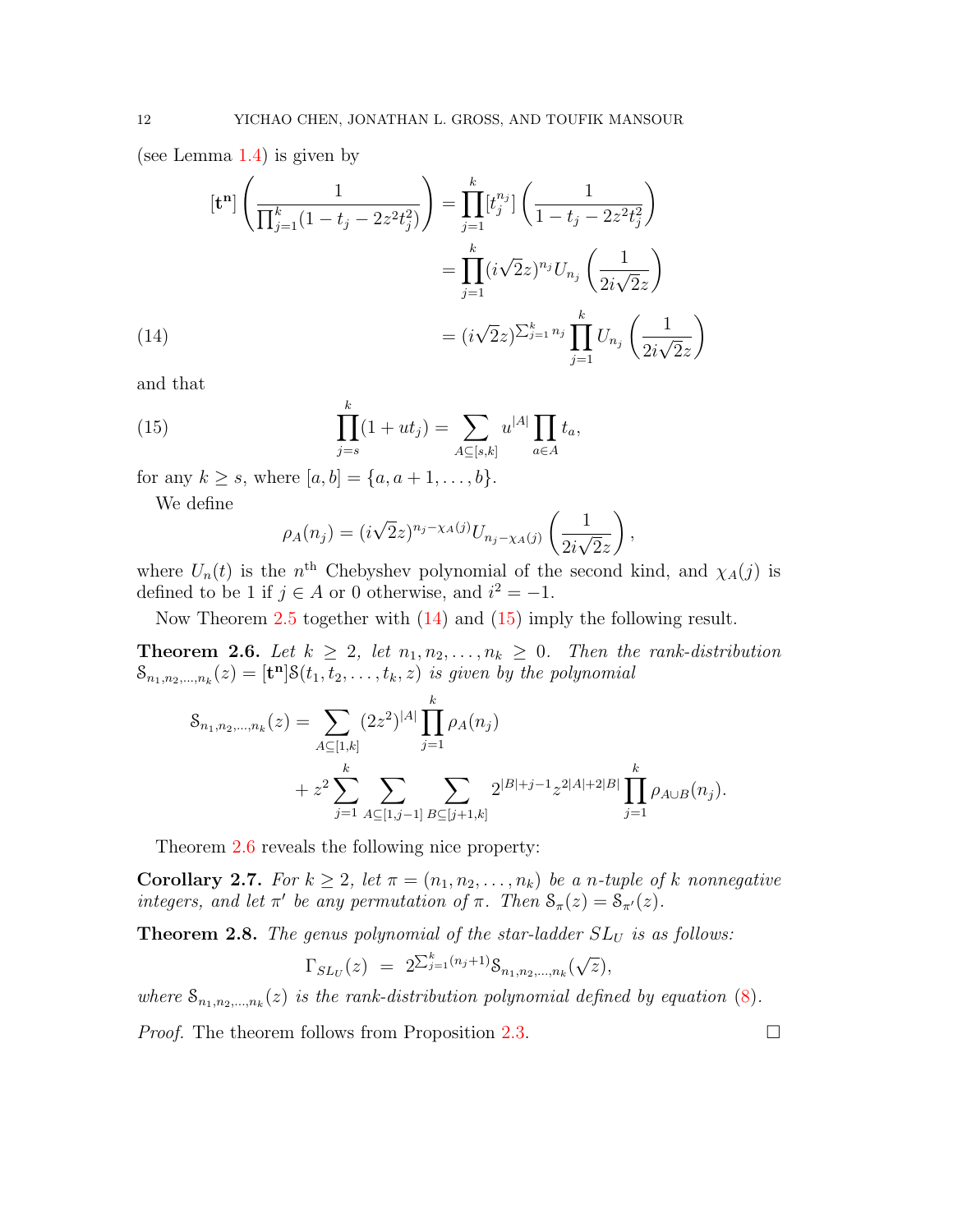(see Lemma [1.4\)](#page-5-4) is given by

(14)  

$$
[\mathbf{t}^{\mathbf{n}}] \left( \frac{1}{\prod_{j=1}^{k} (1 - t_j - 2z^2 t_j^2)} \right) = \prod_{j=1}^{k} [t_j^{n_j}] \left( \frac{1}{1 - t_j - 2z^2 t_j^2} \right)
$$

$$
= \prod_{j=1}^{k} (i \sqrt{2} z)^{n_j} U_{n_j} \left( \frac{1}{2i \sqrt{2} z} \right)
$$

$$
= (i \sqrt{2} z)^{\sum_{j=1}^{k} n_j} \prod_{j=1}^{k} U_{n_j} \left( \frac{1}{2i \sqrt{2} z} \right)
$$

<span id="page-11-0"></span>and that

<span id="page-11-1"></span>(15) 
$$
\prod_{j=s}^{k} (1+ut_j) = \sum_{A \subseteq [s,k]} u^{|A|} \prod_{a \in A} t_a,
$$

for any  $k \ge s$ , where  $[a, b] = \{a, a + 1, ..., b\}.$ 

We define

$$
\rho_A(n_j) = (i\sqrt{2}z)^{n_j - \chi_A(j)} U_{n_j - \chi_A(j)} \left(\frac{1}{2i\sqrt{2}z}\right),
$$

where  $U_n(t)$  is the n<sup>th</sup> Chebyshev polynomial of the second kind, and  $\chi_A(j)$  is defined to be 1 if  $j \in A$  or 0 otherwise, and  $i^2 = -1$ .

Now Theorem [2.5](#page-10-1) together with [\(14\)](#page-11-0) and [\(15\)](#page-11-1) imply the following result.

<span id="page-11-2"></span>**Theorem 2.6.** Let  $k \geq 2$ , let  $n_1, n_2, \ldots, n_k \geq 0$ . Then the rank-distribution  $S_{n_1,n_2,...,n_k}(z) = [\mathbf{t}^n] S(t_1,t_2,...,t_k,z)$  is given by the polynomial

$$
\mathcal{S}_{n_1, n_2, \dots, n_k}(z) = \sum_{A \subseteq [1,k]} (2z^2)^{|A|} \prod_{j=1}^k \rho_A(n_j)
$$
  
+  $z^2 \sum_{j=1}^k \sum_{A \subseteq [1,j-1]} \sum_{B \subseteq [j+1,k]} 2^{|B|+j-1} z^{2|A|+2|B|} \prod_{j=1}^k \rho_{A \cup B}(n_j).$ 

Theorem [2.6](#page-11-2) reveals the following nice property:

**Corollary 2.7.** For  $k \geq 2$ , let  $\pi = (n_1, n_2, \ldots, n_k)$  be a n-tuple of k nonnegative integers, and let  $\pi'$  be any permutation of  $\pi$ . Then  $S_{\pi}(z) = S_{\pi'}(z)$ .

**Theorem 2.8.** The genus polynomial of the star-ladder  $SL_U$  is as follows:

$$
\Gamma_{SL_U}(z) = 2^{\sum_{j=1}^k (n_j+1)} \mathcal{S}_{n_1, n_2, \dots, n_k}(\sqrt{z}),
$$

where  $S_{n_1,n_2,...,n_k}(z)$  is the rank-distribution polynomial defined by equation [\(8\)](#page-7-0). *Proof.* The theorem follows from Proposition [2.3.](#page-7-1)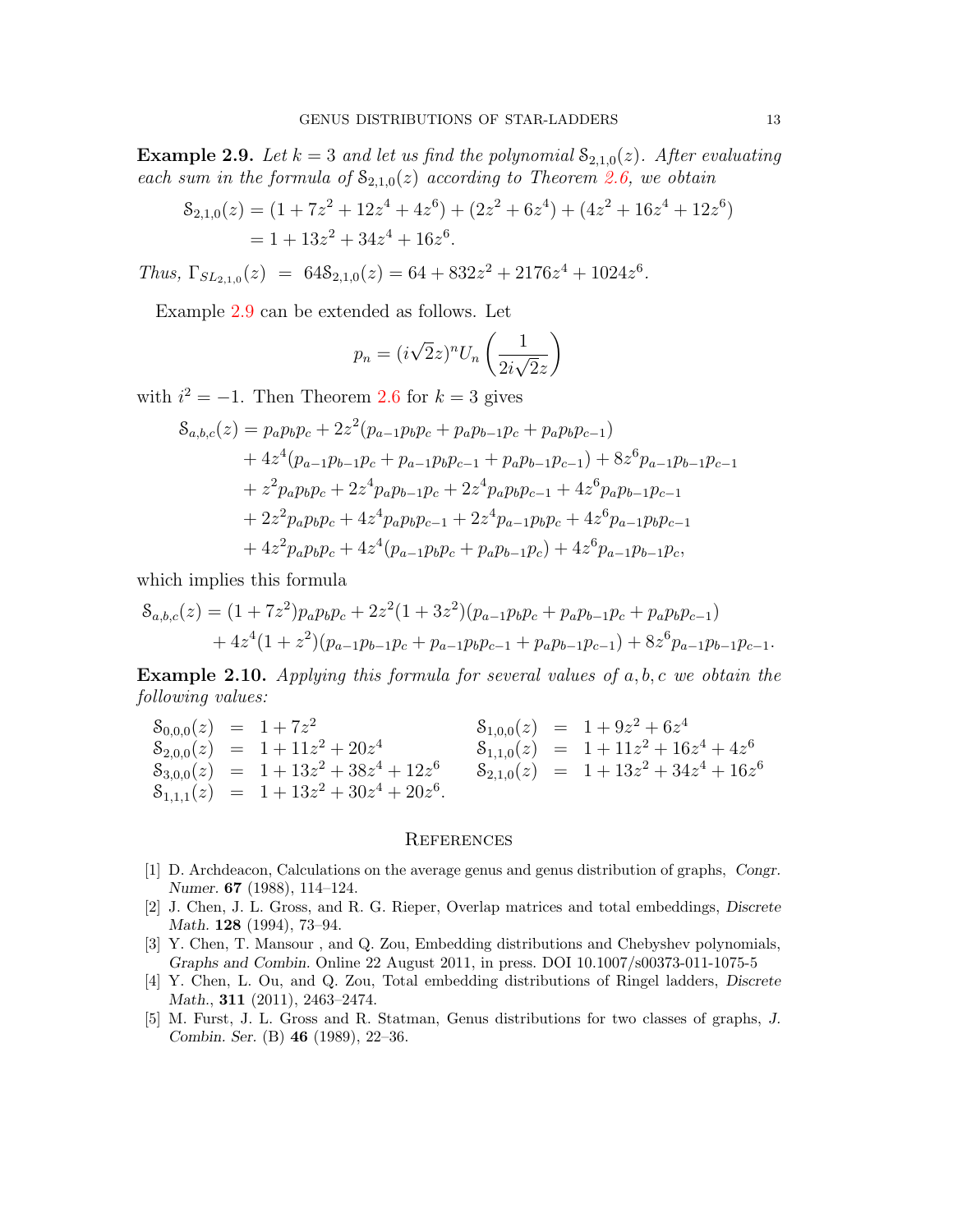<span id="page-12-5"></span>**Example 2.9.** Let  $k = 3$  and let us find the polynomial  $S_{2,1,0}(z)$ . After evaluating each sum in the formula of  $S_{2,1,0}(z)$  according to Theorem [2.6,](#page-11-2) we obtain

$$
S_{2,1,0}(z) = (1 + 7z2 + 12z4 + 4z6) + (2z2 + 6z4) + (4z2 + 16z4 + 12z6)
$$
  
= 1 + 13z<sup>2</sup> + 34z<sup>4</sup> + 16z<sup>6</sup>.

Thus,  $\Gamma_{SL_{2,1,0}}(z) = 648_{2,1,0}(z) = 64 + 832z^2 + 2176z^4 + 1024z^6$ .

Example [2.9](#page-12-5) can be extended as follows. Let

$$
p_n = (i\sqrt{2}z)^n U_n \left(\frac{1}{2i\sqrt{2}z}\right)
$$

with  $i^2 = -1$ . Then Theorem [2.6](#page-11-2) for  $k = 3$  gives

$$
S_{a,b,c}(z) = p_a p_b p_c + 2z^2 (p_{a-1} p_b p_c + p_a p_{b-1} p_c + p_a p_b p_{c-1})
$$
  
+ 
$$
4z^4 (p_{a-1} p_{b-1} p_c + p_{a-1} p_b p_{c-1} + p_a p_{b-1} p_{c-1}) + 8z^6 p_{a-1} p_{b-1} p_{c-1}
$$
  
+ 
$$
z^2 p_a p_b p_c + 2z^4 p_a p_{b-1} p_c + 2z^4 p_a p_b p_{c-1} + 4z^6 p_a p_{b-1} p_{c-1}
$$
  
+ 
$$
2z^2 p_a p_b p_c + 4z^4 p_a p_b p_{c-1} + 2z^4 p_{a-1} p_b p_c + 4z^6 p_{a-1} p_b p_{c-1}
$$
  
+ 
$$
4z^2 p_a p_b p_c + 4z^4 (p_{a-1} p_b p_c + p_a p_{b-1} p_c) + 4z^6 p_{a-1} p_{b-1} p_c,
$$

which implies this formula

$$
S_{a,b,c}(z) = (1+7z^2)p_ap_bp_c+2z^2(1+3z^2)(p_{a-1}p_bp_c+p_ap_{b-1}p_c+p_ap_bp_c-1)+4z^4(1+z^2)(p_{a-1}p_{b-1}p_c+p_{a-1}p_bp_c-1+p_ap_{b-1}p_{c-1})+8z^6p_{a-1}p_{b-1}p_{c-1}.
$$

**Example 2.10.** Applying this formula for several values of  $a, b, c$  we obtain the following values:

$$
\begin{array}{rcl}\n\mathcal{S}_{0,0,0}(z) &=& 1 + 7z^2 \\
\mathcal{S}_{2,0,0}(z) &=& 1 + 11z^2 + 20z^4 \\
\mathcal{S}_{3,0,0}(z) &=& 1 + 13z^2 + 38z^4 + 12z^6 \\
\mathcal{S}_{1,1,0}(z) &=& 1 + 13z^2 + 38z^4 + 12z^6 \\
\mathcal{S}_{1,1,1}(z) &=& 1 + 13z^2 + 30z^4 + 20z^6 \\
\end{array}
$$
\n
$$
\begin{array}{rcl}\n\mathcal{S}_{1,0,0}(z) &=& 1 + 9z^2 + 6z^4 \\
\mathcal{S}_{1,1,0}(z) &=& 1 + 11z^2 + 16z^4 + 4z^6 \\
\mathcal{S}_{2,1,0}(z) &=& 1 + 13z^2 + 34z^4 + 16z^6\n\end{array}
$$

### **REFERENCES**

- <span id="page-12-0"></span>[1] D. Archdeacon, Calculations on the average genus and genus distribution of graphs, Congr. Numer. 67 (1988), 114–124.
- <span id="page-12-2"></span>[2] J. Chen, J. L. Gross, and R. G. Rieper, Overlap matrices and total embeddings, Discrete Math. 128 (1994), 73–94.
- <span id="page-12-3"></span>[3] Y. Chen, T. Mansour , and Q. Zou, Embedding distributions and Chebyshev polynomials, Graphs and Combin. Online 22 August 2011, in press. DOI 10.1007/s00373-011-1075-5
- <span id="page-12-4"></span>[4] Y. Chen, L. Ou, and Q. Zou, Total embedding distributions of Ringel ladders, Discrete Math., 311 (2011), 2463–2474.
- <span id="page-12-1"></span>[5] M. Furst, J. L. Gross and R. Statman, Genus distributions for two classes of graphs, J. Combin. Ser. (B) 46 (1989), 22–36.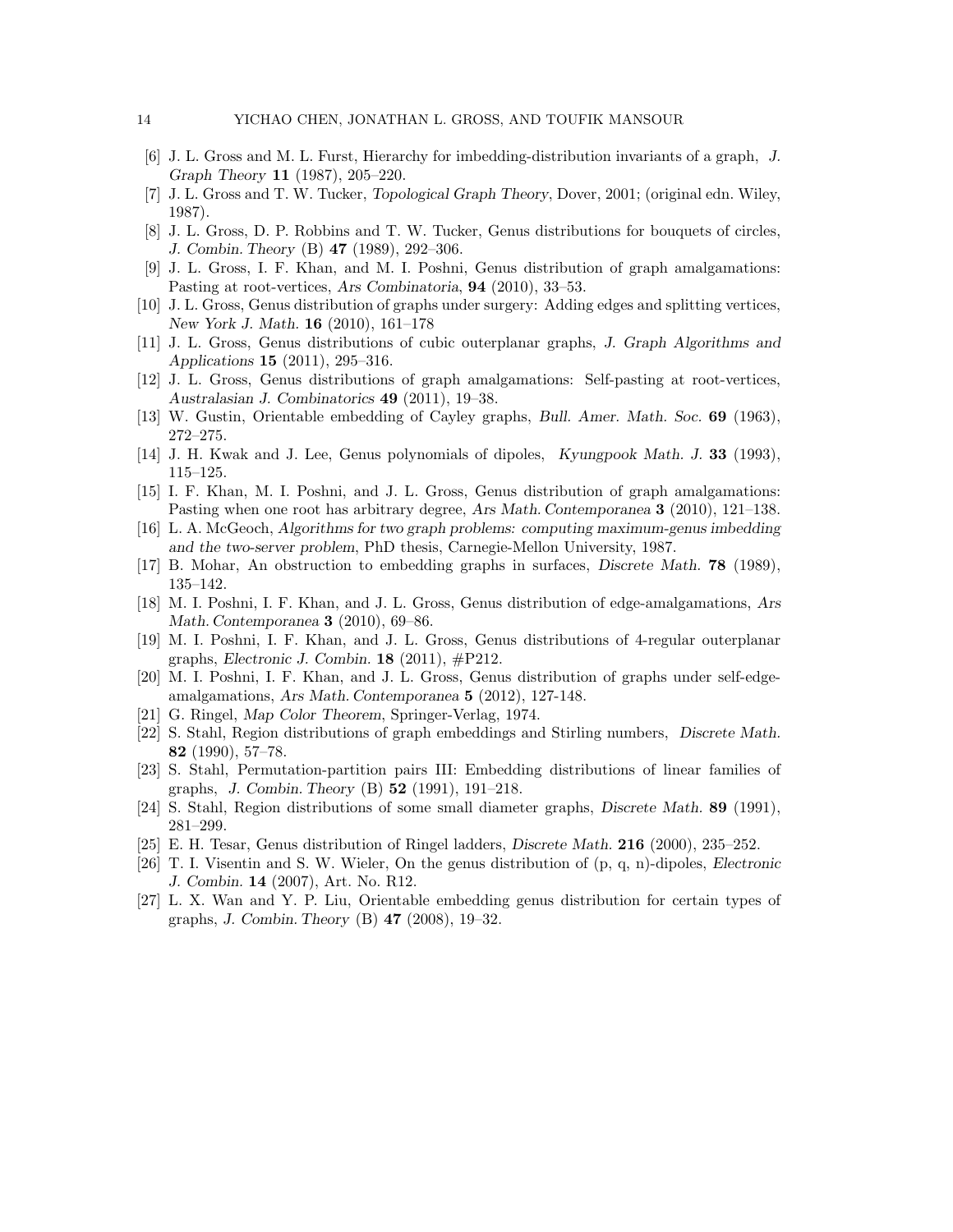- <span id="page-13-0"></span>[6] J. L. Gross and M. L. Furst, Hierarchy for imbedding-distribution invariants of a graph, J. Graph Theory 11 (1987), 205–220.
- <span id="page-13-19"></span>[7] J. L. Gross and T. W. Tucker, Topological Graph Theory, Dover, 2001; (original edn. Wiley, 1987).
- <span id="page-13-1"></span>[8] J. L. Gross, D. P. Robbins and T. W. Tucker, Genus distributions for bouquets of circles, J. Combin. Theory (B) 47 (1989), 292–306.
- <span id="page-13-2"></span>[9] J. L. Gross, I. F. Khan, and M. I. Poshni, Genus distribution of graph amalgamations: Pasting at root-vertices, Ars Combinatoria, 94 (2010), 33–53.
- <span id="page-13-3"></span>[10] J. L. Gross, Genus distribution of graphs under surgery: Adding edges and splitting vertices, New York J. Math. 16 (2010), 161–178
- <span id="page-13-4"></span>[11] J. L. Gross, Genus distributions of cubic outerplanar graphs, J. Graph Algorithms and Applications 15 (2011), 295–316.
- <span id="page-13-5"></span>[12] J. L. Gross, Genus distributions of graph amalgamations: Self-pasting at root-vertices, Australasian J. Combinatorics 49 (2011), 19–38.
- <span id="page-13-20"></span>[13] W. Gustin, Orientable embedding of Cayley graphs, Bull. Amer. Math. Soc. 69 (1963), 272–275.
- <span id="page-13-6"></span>[14] J. H. Kwak and J. Lee, Genus polynomials of dipoles, Kyungpook Math. J. 33 (1993), 115–125.
- <span id="page-13-7"></span>[15] I. F. Khan, M. I. Poshni, and J. L. Gross, Genus distribution of graph amalgamations: Pasting when one root has arbitrary degree, Ars Math. Contemporanea 3 (2010), 121–138.
- <span id="page-13-8"></span>[16] L. A. McGeoch, Algorithms for two graph problems: computing maximum-genus imbedding and the two-server problem, PhD thesis, Carnegie-Mellon University, 1987.
- <span id="page-13-18"></span>[17] B. Mohar, An obstruction to embedding graphs in surfaces, Discrete Math. 78 (1989), 135–142.
- <span id="page-13-9"></span>[18] M. I. Poshni, I. F. Khan, and J. L. Gross, Genus distribution of edge-amalgamations, Ars Math. Contemporanea 3 (2010), 69–86.
- <span id="page-13-10"></span>[19] M. I. Poshni, I. F. Khan, and J. L. Gross, Genus distributions of 4-regular outerplanar graphs, Electronic J. Combin. 18 (2011), #P212.
- <span id="page-13-11"></span>[20] M. I. Poshni, I. F. Khan, and J. L. Gross, Genus distribution of graphs under self-edgeamalgamations, Ars Math. Contemporanea 5 (2012), 127-148.
- <span id="page-13-21"></span>[21] G. Ringel, Map Color Theorem, Springer-Verlag, 1974.
- <span id="page-13-12"></span>[22] S. Stahl, Region distributions of graph embeddings and Stirling numbers, Discrete Math. 82 (1990), 57–78.
- <span id="page-13-13"></span>[23] S. Stahl, Permutation-partition pairs III: Embedding distributions of linear families of graphs, J. Combin. Theory (B) 52 (1991), 191–218.
- <span id="page-13-14"></span>[24] S. Stahl, Region distributions of some small diameter graphs, Discrete Math. 89 (1991), 281–299.
- <span id="page-13-15"></span>[25] E. H. Tesar, Genus distribution of Ringel ladders, Discrete Math. 216 (2000), 235–252.
- <span id="page-13-16"></span>[26] T. I. Visentin and S. W. Wieler, On the genus distribution of (p, q, n)-dipoles, Electronic J. Combin. 14 (2007), Art. No. R12.
- <span id="page-13-17"></span>[27] L. X. Wan and Y. P. Liu, Orientable embedding genus distribution for certain types of graphs, J. Combin. Theory (B) 47 (2008), 19–32.